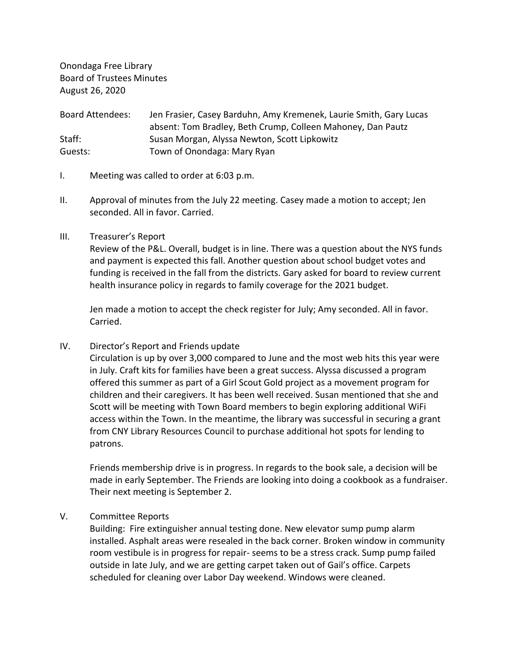Onondaga Free Library Board of Trustees Minutes August 26, 2020

Board Attendees: Jen Frasier, Casey Barduhn, Amy Kremenek, Laurie Smith, Gary Lucas absent: Tom Bradley, Beth Crump, Colleen Mahoney, Dan Pautz Staff: Susan Morgan, Alyssa Newton, Scott Lipkowitz Guests: Town of Onondaga: Mary Ryan

- I. Meeting was called to order at 6:03 p.m.
- II. Approval of minutes from the July 22 meeting. Casey made a motion to accept; Jen seconded. All in favor. Carried.
- III. Treasurer's Report

Review of the P&L. Overall, budget is in line. There was a question about the NYS funds and payment is expected this fall. Another question about school budget votes and funding is received in the fall from the districts. Gary asked for board to review current health insurance policy in regards to family coverage for the 2021 budget.

Jen made a motion to accept the check register for July; Amy seconded. All in favor. Carried.

IV. Director's Report and Friends update

Circulation is up by over 3,000 compared to June and the most web hits this year were in July. Craft kits for families have been a great success. Alyssa discussed a program offered this summer as part of a Girl Scout Gold project as a movement program for children and their caregivers. It has been well received. Susan mentioned that she and Scott will be meeting with Town Board members to begin exploring additional WiFi access within the Town. In the meantime, the library was successful in securing a grant from CNY Library Resources Council to purchase additional hot spots for lending to patrons.

Friends membership drive is in progress. In regards to the book sale, a decision will be made in early September. The Friends are looking into doing a cookbook as a fundraiser. Their next meeting is September 2.

# V. Committee Reports

Building: Fire extinguisher annual testing done. New elevator sump pump alarm installed. Asphalt areas were resealed in the back corner. Broken window in community room vestibule is in progress for repair- seems to be a stress crack. Sump pump failed outside in late July, and we are getting carpet taken out of Gail's office. Carpets scheduled for cleaning over Labor Day weekend. Windows were cleaned.